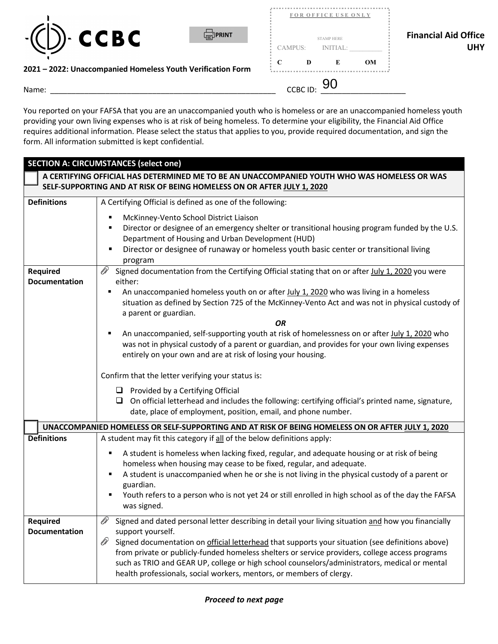



| Name:                                                       | <sub>CCBC ID:</sub> 90 |                                          |                      |           |                             |
|-------------------------------------------------------------|------------------------|------------------------------------------|----------------------|-----------|-----------------------------|
| 2021 - 2022: Unaccompanied Homeless Youth Verification Form | CAMPUS:<br>$\mathbf C$ | D                                        | <b>INITIAL:</b><br>E | <b>OM</b> | <b>UHY</b>                  |
| )- CCBC<br><b>FORINT</b><br>$-$ (                           |                        | FOR OFFICE USE ONLY<br><b>STAMP HERE</b> |                      |           | <b>Financial Aid Office</b> |
|                                                             |                        |                                          |                      |           |                             |

## **2021 – 2022: Unaccompanied Homeless Youth Verification Form**

 requires additional information. Please select the status that applies to you, provide required documentation, and sign the form. All information submitted is kept confidential. You reported on your FAFSA that you are an unaccompanied youth who is homeless or are an unaccompanied homeless youth providing your own living expenses who is at risk of being homeless. To determine your eligibility, the Financial Aid Office

|                                         | <b>SECTION A: CIRCUMSTANCES (select one)</b>                                                                                                                                                                                                                                                                                                                                                                                                                                                                          |
|-----------------------------------------|-----------------------------------------------------------------------------------------------------------------------------------------------------------------------------------------------------------------------------------------------------------------------------------------------------------------------------------------------------------------------------------------------------------------------------------------------------------------------------------------------------------------------|
|                                         | A CERTIFYING OFFICIAL HAS DETERMINED ME TO BE AN UNACCOMPANIED YOUTH WHO WAS HOMELESS OR WAS<br>SELF-SUPPORTING AND AT RISK OF BEING HOMELESS ON OR AFTER JULY 1, 2020                                                                                                                                                                                                                                                                                                                                                |
| <b>Definitions</b>                      | A Certifying Official is defined as one of the following:                                                                                                                                                                                                                                                                                                                                                                                                                                                             |
|                                         | McKinney-Vento School District Liaison<br>Director or designee of an emergency shelter or transitional housing program funded by the U.S.<br>Department of Housing and Urban Development (HUD)<br>Director or designee of runaway or homeless youth basic center or transitional living<br>program                                                                                                                                                                                                                    |
| Required                                | Ø1<br>Signed documentation from the Certifying Official stating that on or after July 1, 2020 you were                                                                                                                                                                                                                                                                                                                                                                                                                |
| <b>Documentation</b>                    | either:<br>An unaccompanied homeless youth on or after July 1, 2020 who was living in a homeless<br>٠<br>situation as defined by Section 725 of the McKinney-Vento Act and was not in physical custody of<br>a parent or guardian.                                                                                                                                                                                                                                                                                    |
|                                         | <b>OR</b>                                                                                                                                                                                                                                                                                                                                                                                                                                                                                                             |
|                                         | An unaccompanied, self-supporting youth at risk of homelessness on or after July 1, 2020 who<br>was not in physical custody of a parent or guardian, and provides for your own living expenses<br>entirely on your own and are at risk of losing your housing.                                                                                                                                                                                                                                                        |
|                                         | Confirm that the letter verifying your status is:                                                                                                                                                                                                                                                                                                                                                                                                                                                                     |
|                                         | $\Box$ Provided by a Certifying Official<br>$\Box$ On official letterhead and includes the following: certifying official's printed name, signature,<br>date, place of employment, position, email, and phone number.                                                                                                                                                                                                                                                                                                 |
|                                         | UNACCOMPANIED HOMELESS OR SELF-SUPPORTING AND AT RISK OF BEING HOMELESS ON OR AFTER JULY 1, 2020                                                                                                                                                                                                                                                                                                                                                                                                                      |
| <b>Definitions</b>                      | A student may fit this category if all of the below definitions apply:<br>A student is homeless when lacking fixed, regular, and adequate housing or at risk of being<br>٠<br>homeless when housing may cease to be fixed, regular, and adequate.<br>A student is unaccompanied when he or she is not living in the physical custody of a parent or<br>٠<br>guardian.<br>Youth refers to a person who is not yet 24 or still enrolled in high school as of the day the FAFSA<br>was signed.                           |
| <b>Required</b><br><b>Documentation</b> | OP<br>Signed and dated personal letter describing in detail your living situation and how you financially<br>support yourself.<br>OP.<br>Signed documentation on official letterhead that supports your situation (see definitions above)<br>from private or publicly-funded homeless shelters or service providers, college access programs<br>such as TRIO and GEAR UP, college or high school counselors/administrators, medical or mental<br>health professionals, social workers, mentors, or members of clergy. |